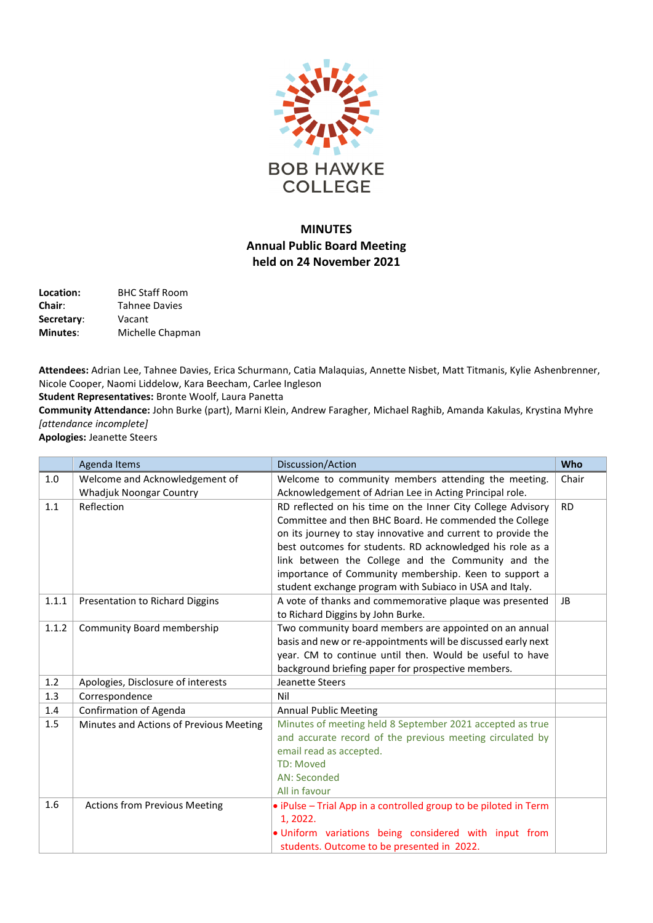

## **MINUTES Annual Public Board Meeting held on 24 November 2021**

**Location:** BHC Staff Room **Chair**: Tahnee Davies **Secretary**: Vacant **Minutes**: Michelle Chapman

**Attendees:** Adrian Lee, Tahnee Davies, Erica Schurmann, Catia Malaquias, Annette Nisbet, Matt Titmanis, Kylie Ashenbrenner, Nicole Cooper, Naomi Liddelow, Kara Beecham, Carlee Ingleson

**Student Representatives:** Bronte Woolf, Laura Panetta

**Community Attendance:** John Burke (part), Marni Klein, Andrew Faragher, Michael Raghib, Amanda Kakulas, Krystina Myhre *[attendance incomplete]*

**Apologies:** Jeanette Steers

|       | Agenda Items                            | Discussion/Action                                                | Who       |
|-------|-----------------------------------------|------------------------------------------------------------------|-----------|
| 1.0   | Welcome and Acknowledgement of          | Welcome to community members attending the meeting.              | Chair     |
|       | Whadjuk Noongar Country                 | Acknowledgement of Adrian Lee in Acting Principal role.          |           |
| 1.1   | Reflection                              | RD reflected on his time on the Inner City College Advisory      | <b>RD</b> |
|       |                                         | Committee and then BHC Board. He commended the College           |           |
|       |                                         | on its journey to stay innovative and current to provide the     |           |
|       |                                         | best outcomes for students. RD acknowledged his role as a        |           |
|       |                                         | link between the College and the Community and the               |           |
|       |                                         | importance of Community membership. Keen to support a            |           |
|       |                                         | student exchange program with Subiaco in USA and Italy.          |           |
| 1.1.1 | Presentation to Richard Diggins         | A vote of thanks and commemorative plaque was presented          | <b>JB</b> |
|       |                                         | to Richard Diggins by John Burke.                                |           |
| 1.1.2 | Community Board membership              | Two community board members are appointed on an annual           |           |
|       |                                         | basis and new or re-appointments will be discussed early next    |           |
|       |                                         | year. CM to continue until then. Would be useful to have         |           |
|       |                                         | background briefing paper for prospective members.               |           |
| 1.2   | Apologies, Disclosure of interests      | Jeanette Steers                                                  |           |
| 1.3   | Correspondence                          | Nil                                                              |           |
| 1.4   | Confirmation of Agenda                  | <b>Annual Public Meeting</b>                                     |           |
| 1.5   | Minutes and Actions of Previous Meeting | Minutes of meeting held 8 September 2021 accepted as true        |           |
|       |                                         | and accurate record of the previous meeting circulated by        |           |
|       |                                         | email read as accepted.                                          |           |
|       |                                         | <b>TD: Moved</b>                                                 |           |
|       |                                         | <b>AN: Seconded</b>                                              |           |
|       |                                         | All in favour                                                    |           |
| 1.6   | <b>Actions from Previous Meeting</b>    | • iPulse - Trial App in a controlled group to be piloted in Term |           |
|       |                                         | 1, 2022.                                                         |           |
|       |                                         | . Uniform variations being considered with input from            |           |
|       |                                         | students. Outcome to be presented in 2022.                       |           |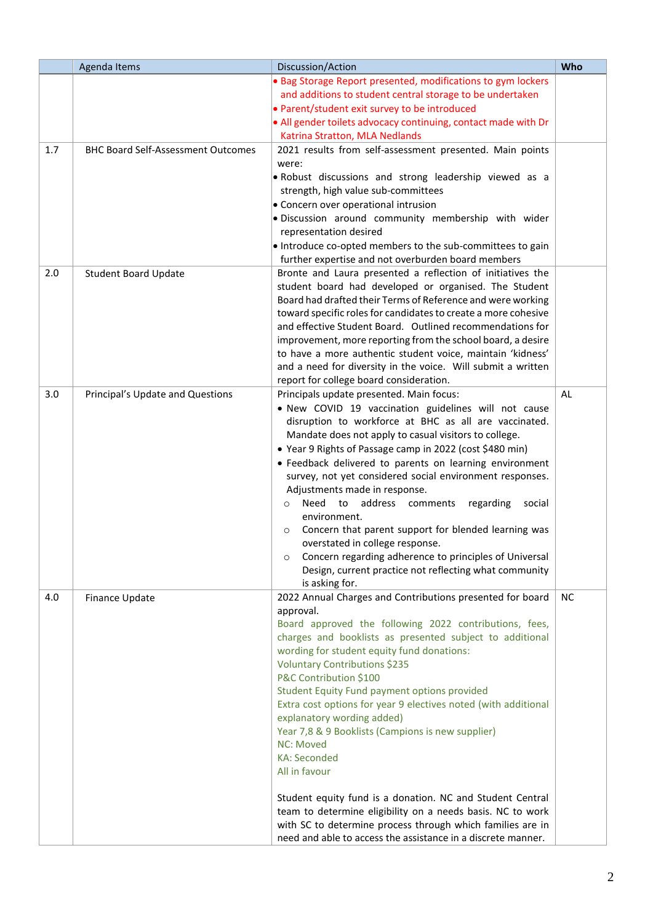|     | Agenda Items                              | Discussion/Action                                                                                                                                                                                                                                                                                                                                                                                                                                                                                                                                                                                                                                                                                                                                                                                                               | Who       |
|-----|-------------------------------------------|---------------------------------------------------------------------------------------------------------------------------------------------------------------------------------------------------------------------------------------------------------------------------------------------------------------------------------------------------------------------------------------------------------------------------------------------------------------------------------------------------------------------------------------------------------------------------------------------------------------------------------------------------------------------------------------------------------------------------------------------------------------------------------------------------------------------------------|-----------|
|     |                                           | . Bag Storage Report presented, modifications to gym lockers<br>and additions to student central storage to be undertaken<br>• Parent/student exit survey to be introduced<br>• All gender toilets advocacy continuing, contact made with Dr<br>Katrina Stratton, MLA Nedlands                                                                                                                                                                                                                                                                                                                                                                                                                                                                                                                                                  |           |
| 1.7 | <b>BHC Board Self-Assessment Outcomes</b> | 2021 results from self-assessment presented. Main points<br>were:<br>. Robust discussions and strong leadership viewed as a<br>strength, high value sub-committees<br>• Concern over operational intrusion<br>· Discussion around community membership with wider<br>representation desired<br>• Introduce co-opted members to the sub-committees to gain<br>further expertise and not overburden board members                                                                                                                                                                                                                                                                                                                                                                                                                 |           |
| 2.0 | <b>Student Board Update</b>               | Bronte and Laura presented a reflection of initiatives the<br>student board had developed or organised. The Student<br>Board had drafted their Terms of Reference and were working<br>toward specific roles for candidates to create a more cohesive<br>and effective Student Board. Outlined recommendations for<br>improvement, more reporting from the school board, a desire<br>to have a more authentic student voice, maintain 'kidness'<br>and a need for diversity in the voice. Will submit a written<br>report for college board consideration.                                                                                                                                                                                                                                                                       |           |
| 3.0 | Principal's Update and Questions          | Principals update presented. Main focus:<br>. New COVID 19 vaccination guidelines will not cause<br>disruption to workforce at BHC as all are vaccinated.<br>Mandate does not apply to casual visitors to college.<br>• Year 9 Rights of Passage camp in 2022 (cost \$480 min)<br>• Feedback delivered to parents on learning environment<br>survey, not yet considered social environment responses.<br>Adjustments made in response.<br>address<br>Need to<br>comments<br>regarding<br>social<br>$\circ$<br>environment.<br>Concern that parent support for blended learning was<br>$\circ$<br>overstated in college response.<br>Concern regarding adherence to principles of Universal<br>$\circ$<br>Design, current practice not reflecting what community<br>is asking for.                                               | <b>AL</b> |
| 4.0 | Finance Update                            | 2022 Annual Charges and Contributions presented for board<br>approval.<br>Board approved the following 2022 contributions, fees,<br>charges and booklists as presented subject to additional<br>wording for student equity fund donations:<br>Voluntary Contributions \$235<br>P&C Contribution \$100<br>Student Equity Fund payment options provided<br>Extra cost options for year 9 electives noted (with additional<br>explanatory wording added)<br>Year 7,8 & 9 Booklists (Campions is new supplier)<br><b>NC: Moved</b><br><b>KA: Seconded</b><br>All in favour<br>Student equity fund is a donation. NC and Student Central<br>team to determine eligibility on a needs basis. NC to work<br>with SC to determine process through which families are in<br>need and able to access the assistance in a discrete manner. | <b>NC</b> |